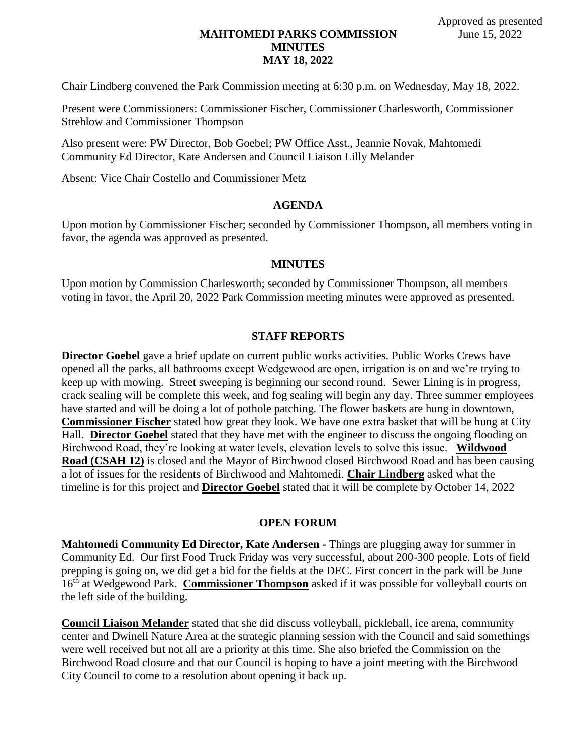# **MAHTOMEDI PARKS COMMISSION MINUTES MAY 18, 2022**

Chair Lindberg convened the Park Commission meeting at 6:30 p.m. on Wednesday, May 18, 2022.

Present were Commissioners: Commissioner Fischer, Commissioner Charlesworth, Commissioner Strehlow and Commissioner Thompson

Also present were: PW Director, Bob Goebel; PW Office Asst., Jeannie Novak, Mahtomedi Community Ed Director, Kate Andersen and Council Liaison Lilly Melander

Absent: Vice Chair Costello and Commissioner Metz

### **AGENDA**

Upon motion by Commissioner Fischer; seconded by Commissioner Thompson, all members voting in favor, the agenda was approved as presented.

#### **MINUTES**

Upon motion by Commission Charlesworth; seconded by Commissioner Thompson, all members voting in favor, the April 20, 2022 Park Commission meeting minutes were approved as presented.

#### **STAFF REPORTS**

**Director Goebel** gave a brief update on current public works activities. Public Works Crews have opened all the parks, all bathrooms except Wedgewood are open, irrigation is on and we're trying to keep up with mowing. Street sweeping is beginning our second round. Sewer Lining is in progress, crack sealing will be complete this week, and fog sealing will begin any day. Three summer employees have started and will be doing a lot of pothole patching. The flower baskets are hung in downtown, **Commissioner Fischer** stated how great they look. We have one extra basket that will be hung at City Hall. **Director Goebel** stated that they have met with the engineer to discuss the ongoing flooding on Birchwood Road, they're looking at water levels, elevation levels to solve this issue. **Wildwood Road (CSAH 12)** is closed and the Mayor of Birchwood closed Birchwood Road and has been causing a lot of issues for the residents of Birchwood and Mahtomedi. **Chair Lindberg** asked what the timeline is for this project and **Director Goebel** stated that it will be complete by October 14, 2022

### **OPEN FORUM**

**Mahtomedi Community Ed Director, Kate Andersen -** Things are plugging away for summer in Community Ed. Our first Food Truck Friday was very successful, about 200-300 people. Lots of field prepping is going on, we did get a bid for the fields at the DEC. First concert in the park will be June 16th at Wedgewood Park. **Commissioner Thompson** asked if it was possible for volleyball courts on the left side of the building.

**Council Liaison Melander** stated that she did discuss volleyball, pickleball, ice arena, community center and Dwinell Nature Area at the strategic planning session with the Council and said somethings were well received but not all are a priority at this time. She also briefed the Commission on the Birchwood Road closure and that our Council is hoping to have a joint meeting with the Birchwood City Council to come to a resolution about opening it back up.